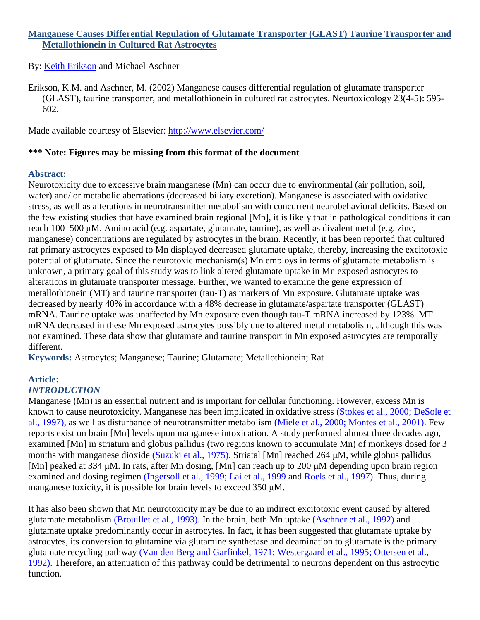# **Manganese Causes Differential Regulation of Glutamate Transporter (GLAST) Taurine Transporter and Metallothionein in Cultured Rat Astrocytes**

# By: [Keith Erikson](http://libres.uncg.edu/ir/uncg/clist.aspx?id=1296) and Michael Aschner

Erikson, K.M. and Aschner, M. (2002) Manganese causes differential regulation of glutamate transporter (GLAST), taurine transporter, and metallothionein in cultured rat astrocytes. Neurtoxicology 23(4-5): 595- 602.

Made available courtesy of Elsevier:<http://www.elsevier.com/>

# **\*\*\* Note: Figures may be missing from this format of the document**

### **Abstract:**

Neurotoxicity due to excessive brain manganese (Mn) can occur due to environmental (air pollution, soil, water) and/ or metabolic aberrations (decreased biliary excretion). Manganese is associated with oxidative stress, as well as alterations in neurotransmitter metabolism with concurrent neurobehavioral deficits. Based on the few existing studies that have examined brain regional [Mn], it is likely that in pathological conditions it can reach 100–500 μM. Amino acid (e.g. aspartate, glutamate, taurine), as well as divalent metal (e.g. zinc, manganese) concentrations are regulated by astrocytes in the brain. Recently, it has been reported that cultured rat primary astrocytes exposed to Mn displayed decreased glutamate uptake, thereby, increasing the excitotoxic potential of glutamate. Since the neurotoxic mechanism(s) Mn employs in terms of glutamate metabolism is unknown, a primary goal of this study was to link altered glutamate uptake in Mn exposed astrocytes to alterations in glutamate transporter message. Further, we wanted to examine the gene expression of metallothionein (MT) and taurine transporter (tau-T) as markers of Mn exposure. Glutamate uptake was decreased by nearly 40% in accordance with a 48% decrease in glutamate/aspartate transporter (GLAST) mRNA. Taurine uptake was unaffected by Mn exposure even though tau-T mRNA increased by 123%. MT mRNA decreased in these Mn exposed astrocytes possibly due to altered metal metabolism, although this was not examined. These data show that glutamate and taurine transport in Mn exposed astrocytes are temporally different.

**Keywords:** Astrocytes; Manganese; Taurine; Glutamate; Metallothionein; Rat

### **Article:** *INTRODUCTION*

Manganese (Mn) is an essential nutrient and is important for cellular functioning. However, excess Mn is known to cause neurotoxicity. Manganese has been implicated in oxidative stress (Stokes et al., 2000; DeSole et al., 1997), as well as disturbance of neurotransmitter metabolism (Miele et al., 2000; Montes et al., 2001). Few reports exist on brain [Mn] levels upon manganese intoxication. A study performed almost three decades ago, examined [Mn] in striatum and globus pallidus (two regions known to accumulate Mn) of monkeys dosed for 3 months with manganese dioxide (Suzuki et al., 1975). Striatal [Mn] reached 264 μM, while globus pallidus [Mn] peaked at 334 μM. In rats, after Mn dosing, [Mn] can reach up to 200 μM depending upon brain region examined and dosing regimen (Ingersoll et al., 1999; Lai et al., 1999 and Roels et al., 1997). Thus, during manganese toxicity, it is possible for brain levels to exceed 350 μM.

It has also been shown that Mn neurotoxicity may be due to an indirect excitotoxic event caused by altered glutamate metabolism (Brouillet et al., 1993). In the brain, both Mn uptake (Aschner et al., 1992) and glutamate uptake predominantly occur in astrocytes. In fact, it has been suggested that glutamate uptake by astrocytes, its conversion to glutamine via glutamine synthetase and deamination to glutamate is the primary glutamate recycling pathway (Van den Berg and Garfinkel, 1971; Westergaard et al., 1995; Ottersen et al., 1992). Therefore, an attenuation of this pathway could be detrimental to neurons dependent on this astrocytic function.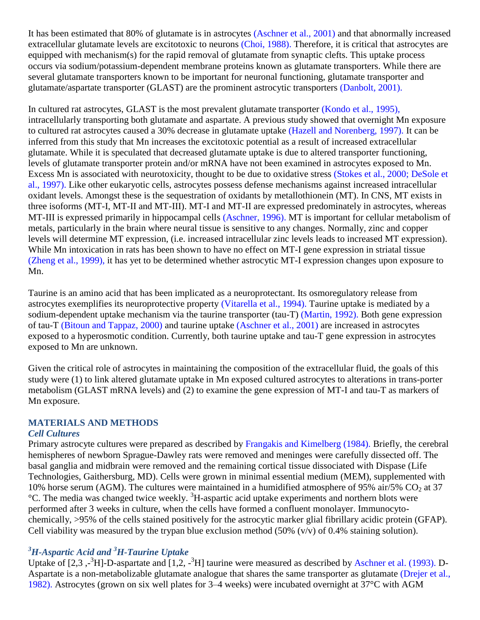It has been estimated that 80% of glutamate is in astrocytes (Aschner et al., 2001) and that abnormally increased extracellular glutamate levels are excitotoxic to neurons (Choi, 1988). Therefore, it is critical that astrocytes are equipped with mechanism(s) for the rapid removal of glutamate from synaptic clefts. This uptake process occurs via sodium/potassium-dependent membrane proteins known as glutamate transporters. While there are several glutamate transporters known to be important for neuronal functioning, glutamate transporter and glutamate/aspartate transporter (GLAST) are the prominent astrocytic transporters (Danbolt, 2001).

In cultured rat astrocytes, GLAST is the most prevalent glutamate transporter (Kondo et al., 1995), intracellularly transporting both glutamate and aspartate. A previous study showed that overnight Mn exposure to cultured rat astrocytes caused a 30% decrease in glutamate uptake (Hazell and Norenberg, 1997). It can be inferred from this study that Mn increases the excitotoxic potential as a result of increased extracellular glutamate. While it is speculated that decreased glutamate uptake is due to altered transporter functioning, levels of glutamate transporter protein and/or mRNA have not been examined in astrocytes exposed to Mn. Excess Mn is associated with neurotoxicity, thought to be due to oxidative stress (Stokes et al., 2000; DeSole et al., 1997). Like other eukaryotic cells, astrocytes possess defense mechanisms against increased intracellular oxidant levels. Amongst these is the sequestration of oxidants by metallothionein (MT). In CNS, MT exists in three isoforms (MT-I, MT-II and MT-III). MT-I and MT-II are expressed predominately in astrocytes, whereas MT-III is expressed primarily in hippocampal cells (Aschner, 1996). MT is important for cellular metabolism of metals, particularly in the brain where neural tissue is sensitive to any changes. Normally, zinc and copper levels will determine MT expression, (i.e. increased intracellular zinc levels leads to increased MT expression). While Mn intoxication in rats has been shown to have no effect on MT-I gene expression in striatal tissue (Zheng et al., 1999), it has yet to be determined whether astrocytic MT-I expression changes upon exposure to Mn.

Taurine is an amino acid that has been implicated as a neuroprotectant. Its osmoregulatory release from astrocytes exemplifies its neuroprotective property (Vitarella et al., 1994). Taurine uptake is mediated by a sodium-dependent uptake mechanism via the taurine transporter (tau-T) (Martin, 1992). Both gene expression of tau-T (Bitoun and Tappaz, 2000) and taurine uptake (Aschner et al., 2001) are increased in astrocytes exposed to a hyperosmotic condition. Currently, both taurine uptake and tau-T gene expression in astrocytes exposed to Mn are unknown.

Given the critical role of astrocytes in maintaining the composition of the extracellular fluid, the goals of this study were (1) to link altered glutamate uptake in Mn exposed cultured astrocytes to alterations in trans-porter metabolism (GLAST mRNA levels) and (2) to examine the gene expression of MT-I and tau-T as markers of Mn exposure.

# **MATERIALS AND METHODS**

# *Cell Cultures*

Primary astrocyte cultures were prepared as described by Frangakis and Kimelberg (1984). Briefly, the cerebral hemispheres of newborn Sprague-Dawley rats were removed and meninges were carefully dissected off. The basal ganglia and midbrain were removed and the remaining cortical tissue dissociated with Dispase (Life Technologies, Gaithersburg, MD). Cells were grown in minimal essential medium (MEM), supplemented with 10% horse serum (AGM). The cultures were maintained in a humidified atmosphere of 95% air/5%  $CO<sub>2</sub>$  at 37  $^{\circ}$ C. The media was changed twice weekly.  $^{3}$ H-aspartic acid uptake experiments and northern blots were performed after 3 weeks in culture, when the cells have formed a confluent monolayer. Immunocytochemically, >95% of the cells stained positively for the astrocytic marker glial fibrillary acidic protein (GFAP). Cell viability was measured by the trypan blue exclusion method  $(50\% (v/v))$  of 0.4% staining solution).

# *<sup>3</sup>H-Aspartic Acid and <sup>3</sup>H-Taurine Uptake*

Uptake of [2,3, -<sup>3</sup>H]-D-aspartate and [1,2, -<sup>3</sup>H] taurine were measured as described by Aschner et al. (1993). D-Aspartate is a non-metabolizable glutamate analogue that shares the same transporter as glutamate (Drejer et al., 1982). Astrocytes (grown on six well plates for 3–4 weeks) were incubated overnight at 37°C with AGM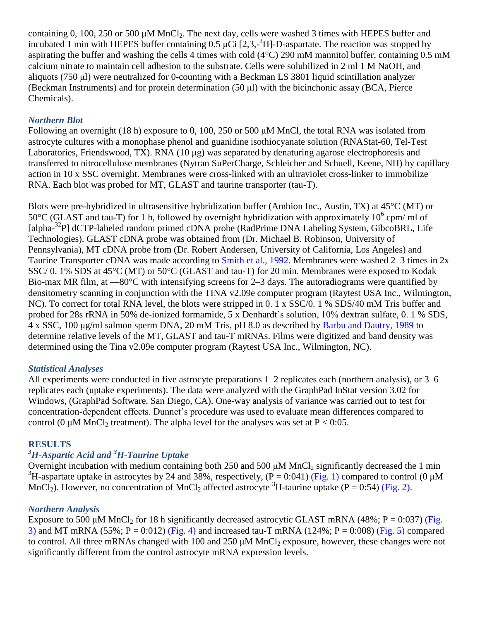containing 0, 100, 250 or 500  $\mu$ M MnCl<sub>2</sub>. The next day, cells were washed 3 times with HEPES buffer and incubated 1 min with HEPES buffer containing 0.5  $\mu$ Ci [2,3,-<sup>3</sup>H]-D-aspartate. The reaction was stopped by aspirating the buffer and washing the cells 4 times with cold (4°C) 290 mM mannitol buffer, containing 0.5 mM calcium nitrate to maintain cell adhesion to the substrate. Cells were solubilized in 2 ml 1 M NaOH, and aliquots (750 μl) were neutralized for 0-counting with a Beckman LS 3801 liquid scintillation analyzer (Beckman Instruments) and for protein determination (50 μl) with the bicinchonic assay (BCA, Pierce Chemicals).

# *Northern Blot*

Following an overnight (18 h) exposure to 0, 100, 250 or 500 μM MnCl, the total RNA was isolated from astrocyte cultures with a monophase phenol and guanidine isothiocyanate solution (RNAStat-60, Tel-Test Laboratories, Friendswood, TX). RNA (10 μg) was separated by denaturing agarose electrophoresis and transferred to nitrocellulose membranes (Nytran SuPerCharge, Schleicher and Schuell, Keene, NH) by capillary action in 10 x SSC overnight. Membranes were cross-linked with an ultraviolet cross-linker to immobilize RNA. Each blot was probed for MT, GLAST and taurine transporter (tau-T).

Blots were pre-hybridized in ultrasensitive hybridization buffer (Ambion Inc., Austin, TX) at 45°C (MT) or 50°C (GLAST and tau-T) for 1 h, followed by overnight hybridization with approximately  $10^6$  cpm/ ml of [alpha-<sup>32</sup>P] dCTP-labeled random primed cDNA probe (RadPrime DNA Labeling System, GibcoBRL, Life Technologies). GLAST cDNA probe was obtained from (Dr. Michael B. Robinson, University of Pennsylvania), MT cDNA probe from (Dr. Robert Andersen, University of California, Los Angeles) and Taurine Transporter cDNA was made according to Smith et al., 1992. Membranes were washed 2–3 times in 2x SSC/ 0. 1% SDS at 45°C (MT) or 50°C (GLAST and tau-T) for 20 min. Membranes were exposed to Kodak Bio-max MR film, at —80°C with intensifying screens for 2–3 days. The autoradiograms were quantified by densitometry scanning in conjunction with the TINA v2.09e computer program (Raytest USA Inc., Wilmington, NC). To correct for total RNA level, the blots were stripped in 0. 1 x SSC/0. 1 % SDS/40 mM Tris buffer and probed for 28s rRNA in 50% de-ionized formamide, 5 x Denhardt's solution, 10% dextran sulfate, 0. 1 % SDS, 4 x SSC, 100 μg/ml salmon sperm DNA, 20 mM Tris, pH 8.0 as described by Barbu and Dautry, 1989 to determine relative levels of the MT, GLAST and tau-T mRNAs. Films were digitized and band density was determined using the Tina v2.09e computer program (Raytest USA Inc., Wilmington, NC).

# *Statistical Analyses*

All experiments were conducted in five astrocyte preparations 1–2 replicates each (northern analysis), or 3–6 replicates each (uptake experiments). The data were analyzed with the GraphPad InStat version 3.02 for Windows, (GraphPad Software, San Diego, CA). One-way analysis of variance was carried out to test for concentration-dependent effects. Dunnet's procedure was used to evaluate mean differences compared to control (0 μM MnCl<sub>2</sub> treatment). The alpha level for the analyses was set at  $P < 0.05$ .

# **RESULTS**

# *<sup>3</sup>H-Aspartic Acid and <sup>3</sup>H-Taurine Uptake*

Overnight incubation with medium containing both  $250$  and  $500 \mu M$  MnCl<sub>2</sub> significantly decreased the 1 min <sup>3</sup>H-aspartate uptake in astrocytes by 24 and 38%, respectively,  $(P = 0:041)$  (Fig. 1) compared to control (0  $\mu$ M MnCl<sub>2</sub>). However, no concentration of MnCl<sub>2</sub> affected astrocyte <sup>3</sup>H-taurine uptake (P = 0:54) (Fig. 2).

# *Northern Analysis*

Exposure to 500 μM MnCl<sub>2</sub> for 18 h significantly decreased astrocytic GLAST mRNA (48%;  $P = 0.037$ ) (Fig. 3) and MT mRNA (55%;  $P = 0.012$ ) (Fig. 4) and increased tau-T mRNA (124%;  $P = 0.008$ ) (Fig. 5) compared to control. All three mRNAs changed with 100 and 250  $\mu$ M MnCl<sub>2</sub> exposure, however, these changes were not significantly different from the control astrocyte mRNA expression levels.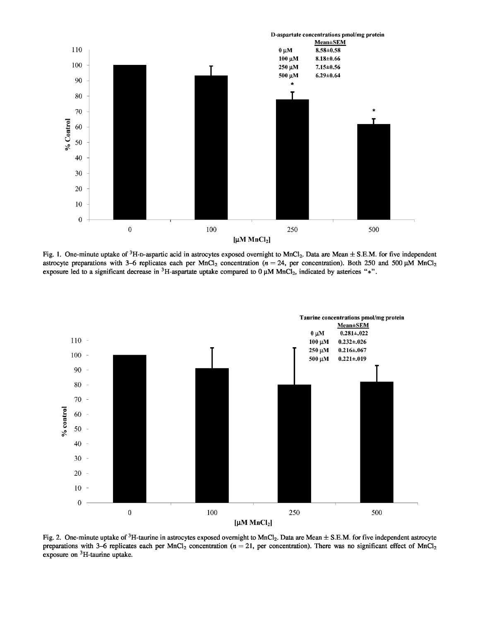

Fig. 1. One-minute uptake of  ${}^{3}$ H-D-aspartic acid in astrocytes exposed overnight to MnCl<sub>2</sub>. Data are Mean  $\pm$  S.E.M. for five independent astrocyte preparations with 3-6 replicates each per MnCl<sub>2</sub> concentration ( $n = 24$ , per concentration). Both 250 and 500  $\mu$ M MnCl<sub>2</sub> exposure led to a significant decrease in <sup>3</sup>H-aspartate uptake compared to  $0 \mu M MnCl_2$ , indicated by asterices "\*".



Fig. 2. One-minute uptake of  ${}^{3}$ H-taurine in astrocytes exposed overnight to MnCl<sub>2</sub>. Data are Mean  $\pm$  S.E.M. for five independent astrocyte preparations with 3-6 replicates each per MnCl<sub>2</sub> concentration ( $n = 21$ , per concentration). There was no significant effect of MnCl<sub>2</sub> exposure on <sup>3</sup>H-taurine uptake.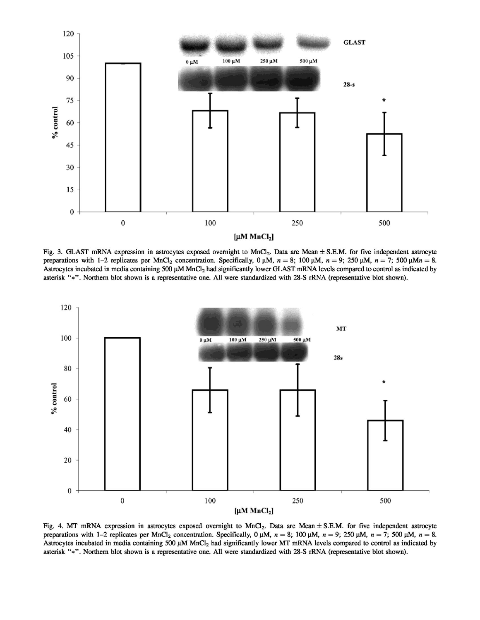

Fig. 3. GLAST mRNA expression in astrocytes exposed overnight to MnCl<sub>2</sub>. Data are Mean  $\pm$  S.E.M. for five independent astrocyte preparations with 1-2 replicates per MnCl<sub>2</sub> concentration. Specifically,  $0 \mu M$ ,  $n = 8$ ; 100  $\mu M$ ,  $n = 9$ ; 250  $\mu M$ ,  $n = 7$ ; 500  $\mu Mn = 8$ . Astrocytes incubated in media containing 500 µM MnCl<sub>2</sub> had significantly lower GLAST mRNA levels compared to control as indicated by asterisk "\*". Northern blot shown is a representative one. All were standardized with 28-S rRNA (representative blot shown).



Fig. 4. MT mRNA expression in astrocytes exposed overnight to  $MnCl_2$ . Data are Mean ± S.E.M. for five independent astrocyte preparations with 1-2 replicates per MnCl<sub>2</sub> concentration. Specifically, 0  $\mu$ M, n = 8; 100  $\mu$ M, n = 9; 250  $\mu$ M, n = 7; 500  $\mu$ M, n = 8. Astrocytes incubated in media containing 500 µM MnCl<sub>2</sub> had significantly lower MT mRNA levels compared to control as indicated by asterisk "\*". Northern blot shown is a representative one. All were standardized with 28-S rRNA (representative blot shown).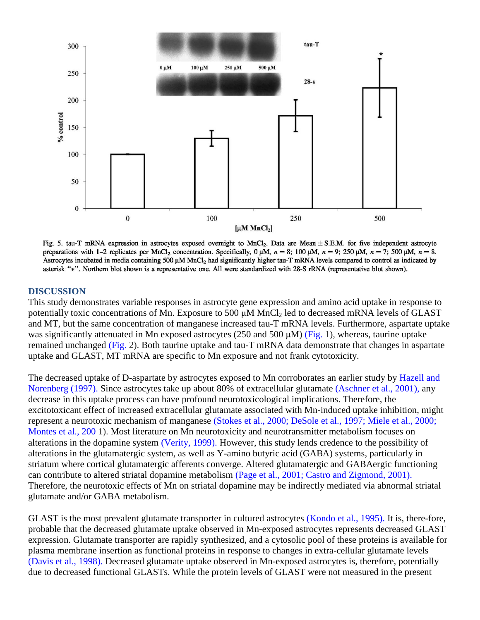

Fig. 5. tau-T mRNA expression in astrocytes exposed overnight to MnCl<sub>2</sub>. Data are Mean  $\pm$  S.E.M. for five independent astrocyte preparations with 1-2 replicates per MnCl<sub>2</sub> concentration. Specifically, 0  $\mu$ M, n = 8; 100  $\mu$ M, n = 9; 250  $\mu$ M, n = 7; 500  $\mu$ M, n = 8. Astrocytes incubated in media containing 500 µM MnCl<sub>2</sub> had significantly higher tau-T mRNA levels compared to control as indicated by asterisk "\*". Northern blot shown is a representative one. All were standardized with 28-S rRNA (representative blot shown).

#### **DISCUSSION**

This study demonstrates variable responses in astrocyte gene expression and amino acid uptake in response to potentially toxic concentrations of Mn. Exposure to 500 μM MnCl<sub>2</sub> led to decreased mRNA levels of GLAST and MT, but the same concentration of manganese increased tau-T mRNA levels. Furthermore, aspartate uptake was significantly attenuated in Mn exposed astrocytes (250 and 500 μM) (Fig. 1), whereas, taurine uptake remained unchanged (Fig. 2). Both taurine uptake and tau-T mRNA data demonstrate that changes in aspartate uptake and GLAST, MT mRNA are specific to Mn exposure and not frank cytotoxicity.

The decreased uptake of D-aspartate by astrocytes exposed to Mn corroborates an earlier study by Hazell and Norenberg (1997). Since astrocytes take up about 80% of extracellular glutamate (Aschner et al., 2001), any decrease in this uptake process can have profound neurotoxicological implications. Therefore, the excitotoxicant effect of increased extracellular glutamate associated with Mn-induced uptake inhibition, might represent a neurotoxic mechanism of manganese (Stokes et al., 2000; DeSole et al., 1997; Miele et al., 2000; Montes et al., 200 1). Most literature on Mn neurotoxicity and neurotransmitter metabolism focuses on alterations in the dopamine system (Verity, 1999). However, this study lends credence to the possibility of alterations in the glutamatergic system, as well as Y-amino butyric acid (GABA) systems, particularly in striatum where cortical glutamatergic afferents converge. Altered glutamatergic and GABAergic functioning can contribute to altered striatal dopamine metabolism (Page et al., 2001; Castro and Zigmond, 2001). Therefore, the neurotoxic effects of Mn on striatal dopamine may be indirectly mediated via abnormal striatal glutamate and/or GABA metabolism.

GLAST is the most prevalent glutamate transporter in cultured astrocytes (Kondo et al., 1995). It is, there-fore, probable that the decreased glutamate uptake observed in Mn-exposed astrocytes represents decreased GLAST expression. Glutamate transporter are rapidly synthesized, and a cytosolic pool of these proteins is available for plasma membrane insertion as functional proteins in response to changes in extra-cellular glutamate levels (Davis et al., 1998). Decreased glutamate uptake observed in Mn-exposed astrocytes is, therefore, potentially due to decreased functional GLASTs. While the protein levels of GLAST were not measured in the present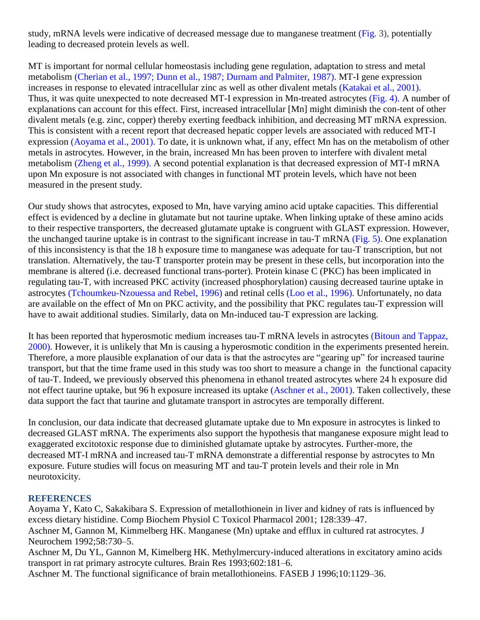study, mRNA levels were indicative of decreased message due to manganese treatment (Fig. 3), potentially leading to decreased protein levels as well.

MT is important for normal cellular homeostasis including gene regulation, adaptation to stress and metal metabolism (Cherian et al., 1997; Dunn et al., 1987; Durnam and Palmiter, 1987). MT-I gene expression increases in response to elevated intracellular zinc as well as other divalent metals (Katakai et al., 2001). Thus, it was quite unexpected to note decreased MT-I expression in Mn-treated astrocytes (Fig. 4). A number of explanations can account for this effect. First, increased intracellular [Mn] might diminish the con-tent of other divalent metals (e.g. zinc, copper) thereby exerting feedback inhibition, and decreasing MT mRNA expression. This is consistent with a recent report that decreased hepatic copper levels are associated with reduced MT-I expression (Aoyama et al., 2001). To date, it is unknown what, if any, effect Mn has on the metabolism of other metals in astrocytes. However, in the brain, increased Mn has been proven to interfere with divalent metal metabolism (Zheng et al., 1999). A second potential explanation is that decreased expression of MT-I mRNA upon Mn exposure is not associated with changes in functional MT protein levels, which have not been measured in the present study.

Our study shows that astrocytes, exposed to Mn, have varying amino acid uptake capacities. This differential effect is evidenced by a decline in glutamate but not taurine uptake. When linking uptake of these amino acids to their respective transporters, the decreased glutamate uptake is congruent with GLAST expression. However, the unchanged taurine uptake is in contrast to the significant increase in tau-T mRNA (Fig. 5). One explanation of this inconsistency is that the 18 h exposure time to manganese was adequate for tau-T transcription, but not translation. Alternatively, the tau-T transporter protein may be present in these cells, but incorporation into the membrane is altered (i.e. decreased functional trans-porter). Protein kinase C (PKC) has been implicated in regulating tau-T, with increased PKC activity (increased phosphorylation) causing decreased taurine uptake in astrocytes (Tchoumkeu-Nzouessa and Rebel, 1996) and retinal cells (Loo et al., 1996). Unfortunately, no data are available on the effect of Mn on PKC activity, and the possibility that PKC regulates tau-T expression will have to await additional studies. Similarly, data on Mn-induced tau-T expression are lacking.

It has been reported that hyperosmotic medium increases tau-T mRNA levels in astrocytes (Bitoun and Tappaz, 2000). However, it is unlikely that Mn is causing a hyperosmotic condition in the experiments presented herein. Therefore, a more plausible explanation of our data is that the astrocytes are "gearing up" for increased taurine transport, but that the time frame used in this study was too short to measure a change in the functional capacity of tau-T. Indeed, we previously observed this phenomena in ethanol treated astrocytes where 24 h exposure did not effect taurine uptake, but 96 h exposure increased its uptake (Aschner et al., 2001). Taken collectively, these data support the fact that taurine and glutamate transport in astrocytes are temporally different.

In conclusion, our data indicate that decreased glutamate uptake due to Mn exposure in astrocytes is linked to decreased GLAST mRNA. The experiments also support the hypothesis that manganese exposure might lead to exaggerated excitotoxic response due to diminished glutamate uptake by astrocytes. Further-more, the decreased MT-I mRNA and increased tau-T mRNA demonstrate a differential response by astrocytes to Mn exposure. Future studies will focus on measuring MT and tau-T protein levels and their role in Mn neurotoxicity.

# **REFERENCES**

Aoyama Y, Kato C, Sakakibara S. Expression of metallothionein in liver and kidney of rats is influenced by excess dietary histidine. Comp Biochem Physiol C Toxicol Pharmacol 2001; 128:339–47. Aschner M, Gannon M, Kimmelberg HK. Manganese (Mn) uptake and efflux in cultured rat astrocytes. J Neurochem 1992;58:730–5. Aschner M, Du YL, Gannon M, Kimelberg HK. Methylmercury-induced alterations in excitatory amino acids transport in rat primary astrocyte cultures. Brain Res 1993;602:181–6.

Aschner M. The functional significance of brain metallothioneins. FASEB J 1996;10:1129–36.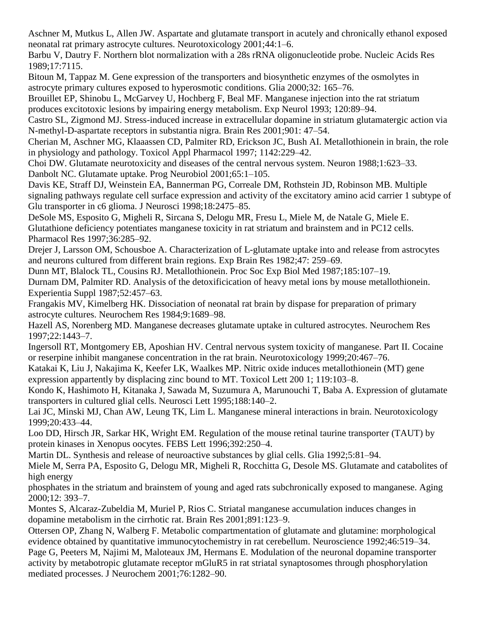Aschner M, Mutkus L, Allen JW. Aspartate and glutamate transport in acutely and chronically ethanol exposed neonatal rat primary astrocyte cultures. Neurotoxicology 2001;44:1–6.

Barbu V, Dautry F. Northern blot normalization with a 28s rRNA oligonucleotide probe. Nucleic Acids Res 1989;17:7115.

Bitoun M, Tappaz M. Gene expression of the transporters and biosynthetic enzymes of the osmolytes in astrocyte primary cultures exposed to hyperosmotic conditions. Glia 2000;32: 165–76.

Brouillet EP, Shinobu L, McGarvey U, Hochberg F, Beal MF. Manganese injection into the rat striatum produces excitotoxic lesions by impairing energy metabolism. Exp Neurol 1993; 120:89–94.

Castro SL, Zigmond MJ. Stress-induced increase in extracellular dopamine in striatum glutamatergic action via N-methyl-D-aspartate receptors in substantia nigra. Brain Res 2001;901: 47–54.

Cherian M, Aschner MG, Klaaassen CD, Palmiter RD, Erickson JC, Bush AI. Metallothionein in brain, the role in physiology and pathology. Toxicol Appl Pharmacol 1997; 1142:229–42.

Choi DW. Glutamate neurotoxicity and diseases of the central nervous system. Neuron 1988;1:623–33. Danbolt NC. Glutamate uptake. Prog Neurobiol 2001;65:1–105.

Davis KE, Straff DJ, Weinstein EA, Bannerman PG, Correale DM, Rothstein JD, Robinson MB. Multiple signaling pathways regulate cell surface expression and activity of the excitatory amino acid carrier 1 subtype of Glu transporter in c6 glioma. J Neurosci 1998;18:2475–85.

DeSole MS, Esposito G, Migheli R, Sircana S, Delogu MR, Fresu L, Miele M, de Natale G, Miele E. Glutathione deficiency potentiates manganese toxicity in rat striatum and brainstem and in PC12 cells. Pharmacol Res 1997;36:285–92.

Drejer J, Larsson OM, Schousboe A. Characterization of L-glutamate uptake into and release from astrocytes and neurons cultured from different brain regions. Exp Brain Res 1982;47: 259–69.

Dunn MT, Blalock TL, Cousins RJ. Metallothionein. Proc Soc Exp Biol Med 1987;185:107–19. Durnam DM, Palmiter RD. Analysis of the detoxificication of heavy metal ions by mouse metallothionein. Experientia Suppl 1987;52:457–63.

Frangakis MV, Kimelberg HK. Dissociation of neonatal rat brain by dispase for preparation of primary astrocyte cultures. Neurochem Res 1984;9:1689–98.

Hazell AS, Norenberg MD. Manganese decreases glutamate uptake in cultured astrocytes. Neurochem Res 1997;22:1443–7.

Ingersoll RT, Montgomery EB, Aposhian HV. Central nervous system toxicity of manganese. Part II. Cocaine or reserpine inhibit manganese concentration in the rat brain. Neurotoxicology 1999;20:467–76.

Katakai K, Liu J, Nakajima K, Keefer LK, Waalkes MP. Nitric oxide induces metallothionein (MT) gene expression appartently by displacing zinc bound to MT. Toxicol Lett 200 1; 119:103–8.

Kondo K, Hashimoto H, Kitanaka J, Sawada M, Suzumura A, Marunouchi T, Baba A. Expression of glutamate transporters in cultured glial cells. Neurosci Lett 1995;188:140–2.

Lai JC, Minski MJ, Chan AW, Leung TK, Lim L. Manganese mineral interactions in brain. Neurotoxicology 1999;20:433–44.

Loo DD, Hirsch JR, Sarkar HK, Wright EM. Regulation of the mouse retinal taurine transporter (TAUT) by protein kinases in Xenopus oocytes. FEBS Lett 1996;392:250–4.

Martin DL. Synthesis and release of neuroactive substances by glial cells. Glia 1992;5:81–94.

Miele M, Serra PA, Esposito G, Delogu MR, Migheli R, Rocchitta G, Desole MS. Glutamate and catabolites of high energy

phosphates in the striatum and brainstem of young and aged rats subchronically exposed to manganese. Aging 2000;12: 393–7.

Montes S, Alcaraz-Zubeldia M, Muriel P, Rios C. Striatal manganese accumulation induces changes in dopamine metabolism in the cirrhotic rat. Brain Res 2001;891:123–9.

Ottersen OP, Zhang N, Walberg F. Metabolic compartmentation of glutamate and glutamine: morphological evidence obtained by quantitative immunocytochemistry in rat cerebellum. Neuroscience 1992;46:519–34.

Page G, Peeters M, Najimi M, Maloteaux JM, Hermans E. Modulation of the neuronal dopamine transporter activity by metabotropic glutamate receptor mGluR5 in rat striatal synaptosomes through phosphorylation mediated processes. J Neurochem 2001;76:1282–90.